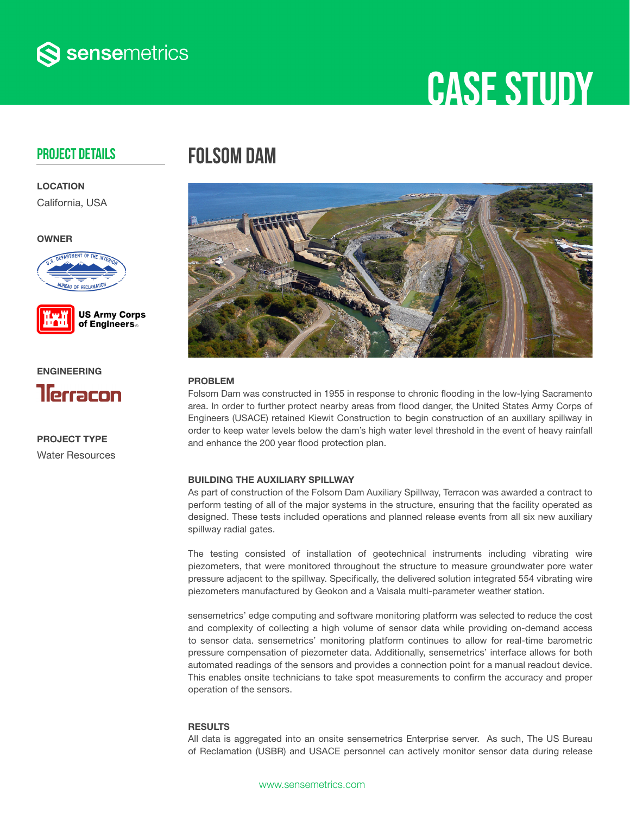

# **CASE STUDY**

### Project Details

**LOCATION** 

California, USA

OWNER





ENGINEERING



PROJECT TYPE Water Resources

### Folsom DAM



#### PROBLEM

Folsom Dam was constructed in 1955 in response to chronic flooding in the low-lying Sacramento area. In order to further protect nearby areas from flood danger, the United States Army Corps of Engineers (USACE) retained Kiewit Construction to begin construction of an auxillary spillway in order to keep water levels below the dam's high water level threshold in the event of heavy rainfall and enhance the 200 year flood protection plan.

#### BUILDING THE AUXILIARY SPILLWAY

As part of construction of the Folsom Dam Auxiliary Spillway, Terracon was awarded a contract to perform testing of all of the major systems in the structure, ensuring that the facility operated as designed. These tests included operations and planned release events from all six new auxiliary spillway radial gates.

The testing consisted of installation of geotechnical instruments including vibrating wire piezometers, that were monitored throughout the structure to measure groundwater pore water pressure adjacent to the spillway. Specifically, the delivered solution integrated 554 vibrating wire piezometers manufactured by Geokon and a Vaisala multi-parameter weather station.

sensemetrics' edge computing and software monitoring platform was selected to reduce the cost and complexity of collecting a high volume of sensor data while providing on-demand access to sensor data. sensemetrics' monitoring platform continues to allow for real-time barometric pressure compensation of piezometer data. Additionally, sensemetrics' interface allows for both automated readings of the sensors and provides a connection point for a manual readout device. This enables onsite technicians to take spot measurements to confirm the accuracy and proper operation of the sensors.

#### RESULTS

All data is aggregated into an onsite sensemetrics Enterprise server. As such, The US Bureau of Reclamation (USBR) and USACE personnel can actively monitor sensor data during release